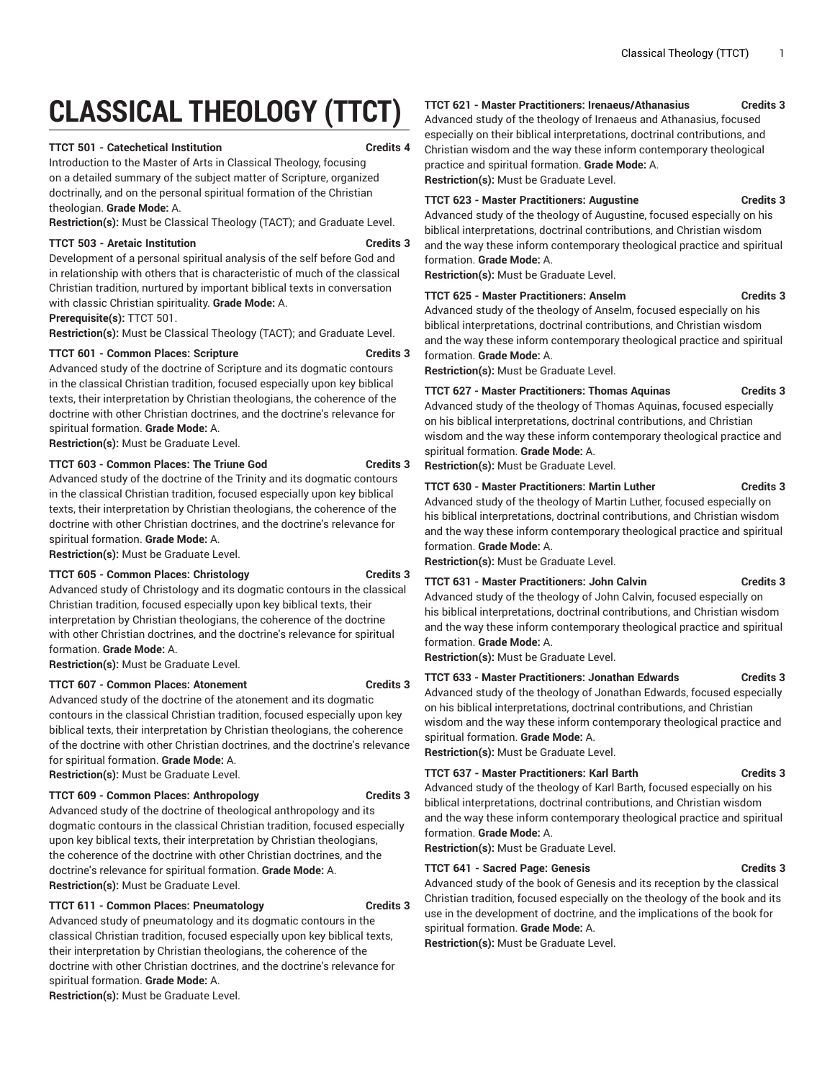# **CLASSICAL THEOLOGY (TTCT)**

# **TTCT 501 - Catechetical Institution Credits 4**

Introduction to the Master of Arts in Classical Theology, focusing on a detailed summary of the subject matter of Scripture, organized doctrinally, and on the personal spiritual formation of the Christian theologian. **Grade Mode:** A.

**Restriction(s):** Must be Classical Theology (TACT); and Graduate Level.

#### **TTCT 503 - Aretaic Institution Credits 3**

Development of a personal spiritual analysis of the self before God and in relationship with others that is characteristic of much of the classical Christian tradition, nurtured by important biblical texts in conversation with classic Christian spirituality. **Grade Mode:** A.

**Prerequisite(s):** TTCT 501.

**Restriction(s):** Must be Classical Theology (TACT); and Graduate Level.

## **TTCT 601 - Common Places: Scripture Credits 3**

Advanced study of the doctrine of Scripture and its dogmatic contours in the classical Christian tradition, focused especially upon key biblical texts, their interpretation by Christian theologians, the coherence of the doctrine with other Christian doctrines, and the doctrine's relevance for spiritual formation. **Grade Mode:** A.

**Restriction(s):** Must be Graduate Level.

#### **TTCT 603 - Common Places: The Triune God Credits 3**

Advanced study of the doctrine of the Trinity and its dogmatic contours in the classical Christian tradition, focused especially upon key biblical texts, their interpretation by Christian theologians, the coherence of the doctrine with other Christian doctrines, and the doctrine's relevance for spiritual formation. **Grade Mode:** A.

**Restriction(s):** Must be Graduate Level.

# **TTCT 605 - Common Places: Christology Credits 3**

Advanced study of Christology and its dogmatic contours in the classical Christian tradition, focused especially upon key biblical texts, their interpretation by Christian theologians, the coherence of the doctrine with other Christian doctrines, and the doctrine's relevance for spiritual formation. **Grade Mode:** A.

**Restriction(s):** Must be Graduate Level.

# **TTCT 607 - Common Places: Atonement Credits 3**

Advanced study of the doctrine of the atonement and its dogmatic contours in the classical Christian tradition, focused especially upon key biblical texts, their interpretation by Christian theologians, the coherence of the doctrine with other Christian doctrines, and the doctrine's relevance for spiritual formation. **Grade Mode:** A.

**Restriction(s):** Must be Graduate Level.

#### **TTCT 609 - Common Places: Anthropology Credits 3**

Advanced study of the doctrine of theological anthropology and its dogmatic contours in the classical Christian tradition, focused especially upon key biblical texts, their interpretation by Christian theologians, the coherence of the doctrine with other Christian doctrines, and the doctrine's relevance for spiritual formation. **Grade Mode:** A. **Restriction(s):** Must be Graduate Level.

#### **TTCT 611 - Common Places: Pneumatology Credits 3**

Advanced study of pneumatology and its dogmatic contours in the classical Christian tradition, focused especially upon key biblical texts, their interpretation by Christian theologians, the coherence of the doctrine with other Christian doctrines, and the doctrine's relevance for spiritual formation. **Grade Mode:** A.

**Restriction(s):** Must be Graduate Level.

# **TTCT 621 - Master Practitioners: Irenaeus/Athanasius Credits 3**

Advanced study of the theology of Irenaeus and Athanasius, focused especially on their biblical interpretations, doctrinal contributions, and Christian wisdom and the way these inform contemporary theological practice and spiritual formation. **Grade Mode:** A. **Restriction(s):** Must be Graduate Level.

#### **TTCT 623 - Master Practitioners: Augustine Credits 3**

Advanced study of the theology of Augustine, focused especially on his biblical interpretations, doctrinal contributions, and Christian wisdom and the way these inform contemporary theological practice and spiritual formation. **Grade Mode:** A.

**Restriction(s):** Must be Graduate Level.

**TTCT 625 - Master Practitioners: Anselm Credits 3**

Advanced study of the theology of Anselm, focused especially on his biblical interpretations, doctrinal contributions, and Christian wisdom and the way these inform contemporary theological practice and spiritual formation. **Grade Mode:** A.

**Restriction(s):** Must be Graduate Level.

# **TTCT 627 - Master Practitioners: Thomas Aquinas Credits 3**

Advanced study of the theology of Thomas Aquinas, focused especially on his biblical interpretations, doctrinal contributions, and Christian wisdom and the way these inform contemporary theological practice and spiritual formation. **Grade Mode:** A.

**Restriction(s):** Must be Graduate Level.

### **TTCT 630 - Master Practitioners: Martin Luther Credits 3**

Advanced study of the theology of Martin Luther, focused especially on his biblical interpretations, doctrinal contributions, and Christian wisdom and the way these inform contemporary theological practice and spiritual formation. **Grade Mode:** A.

**Restriction(s):** Must be Graduate Level.

#### **TTCT 631 - Master Practitioners: John Calvin Credits 3**

Advanced study of the theology of John Calvin, focused especially on

his biblical interpretations, doctrinal contributions, and Christian wisdom and the way these inform contemporary theological practice and spiritual formation. **Grade Mode:** A.

**Restriction(s):** Must be Graduate Level.

### **TTCT 633 - Master Practitioners: Jonathan Edwards Credits 3**

Advanced study of the theology of Jonathan Edwards, focused especially on his biblical interpretations, doctrinal contributions, and Christian wisdom and the way these inform contemporary theological practice and spiritual formation. **Grade Mode:** A.

**Restriction(s):** Must be Graduate Level.

### **TTCT 637 - Master Practitioners: Karl Barth Credits 3**

Advanced study of the theology of Karl Barth, focused especially on his biblical interpretations, doctrinal contributions, and Christian wisdom and the way these inform contemporary theological practice and spiritual formation. **Grade Mode:** A.

**Restriction(s):** Must be Graduate Level.

#### **TTCT 641 - Sacred Page: Genesis Credits 3**

Advanced study of the book of Genesis and its reception by the classical Christian tradition, focused especially on the theology of the book and its use in the development of doctrine, and the implications of the book for spiritual formation. **Grade Mode:** A.

**Restriction(s):** Must be Graduate Level.